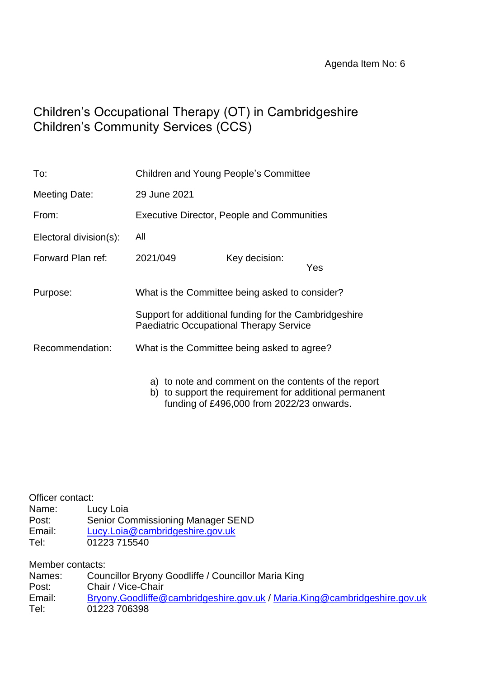# Children's Occupational Therapy (OT) in Cambridgeshire Children's Community Services (CCS)

| To:                    | Children and Young People's Committee                                                                   |               |                                                      |  |
|------------------------|---------------------------------------------------------------------------------------------------------|---------------|------------------------------------------------------|--|
| <b>Meeting Date:</b>   | 29 June 2021                                                                                            |               |                                                      |  |
| From:                  | <b>Executive Director, People and Communities</b>                                                       |               |                                                      |  |
| Electoral division(s): | All                                                                                                     |               |                                                      |  |
| Forward Plan ref:      | 2021/049                                                                                                | Key decision: | Yes                                                  |  |
| Purpose:               | What is the Committee being asked to consider?                                                          |               |                                                      |  |
|                        | Support for additional funding for the Cambridgeshire<br><b>Paediatric Occupational Therapy Service</b> |               |                                                      |  |
| Recommendation:        | What is the Committee being asked to agree?                                                             |               |                                                      |  |
|                        |                                                                                                         |               | a) to note and comment on the contents of the report |  |

b) to support the requirement for additional permanent

funding of £496,000 from 2022/23 onwards.

| Officer contact: |                                   |
|------------------|-----------------------------------|
| Name:            | Lucy Loia                         |
| Post:            | Senior Commissioning Manager SEND |
| Email:           | Lucy.Loia@cambridgeshire.gov.uk   |
| Tel:             | 01223 715540                      |

Member contacts:

| Councillor Bryony Goodliffe / Councillor Maria King                       |
|---------------------------------------------------------------------------|
| Chair / Vice-Chair                                                        |
| Bryony.Goodliffe@cambridgeshire.gov.uk / Maria.King@cambridgeshire.gov.uk |
| 01223 706398                                                              |
|                                                                           |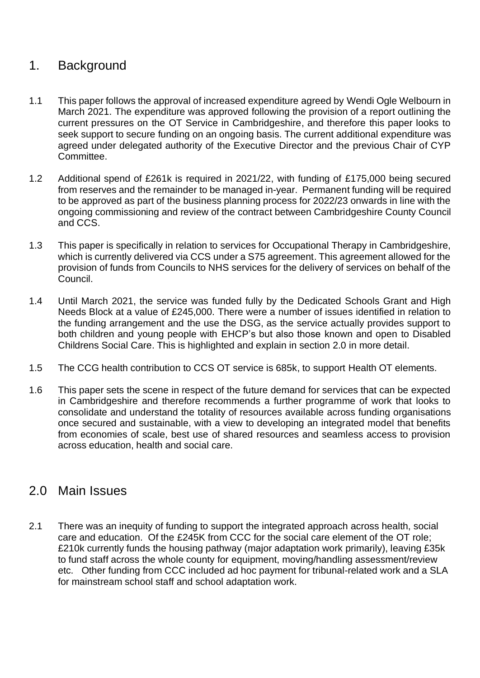# 1. Background

- 1.1 This paper follows the approval of increased expenditure agreed by Wendi Ogle Welbourn in March 2021. The expenditure was approved following the provision of a report outlining the current pressures on the OT Service in Cambridgeshire, and therefore this paper looks to seek support to secure funding on an ongoing basis. The current additional expenditure was agreed under delegated authority of the Executive Director and the previous Chair of CYP Committee.
- 1.2 Additional spend of £261k is required in 2021/22, with funding of £175,000 being secured from reserves and the remainder to be managed in-year. Permanent funding will be required to be approved as part of the business planning process for 2022/23 onwards in line with the ongoing commissioning and review of the contract between Cambridgeshire County Council and CCS.
- 1.3 This paper is specifically in relation to services for Occupational Therapy in Cambridgeshire, which is currently delivered via CCS under a S75 agreement. This agreement allowed for the provision of funds from Councils to NHS services for the delivery of services on behalf of the Council.
- 1.4 Until March 2021, the service was funded fully by the Dedicated Schools Grant and High Needs Block at a value of £245,000. There were a number of issues identified in relation to the funding arrangement and the use the DSG, as the service actually provides support to both children and young people with EHCP's but also those known and open to Disabled Childrens Social Care. This is highlighted and explain in section 2.0 in more detail.
- 1.5 The CCG health contribution to CCS OT service is 685k, to support Health OT elements.
- 1.6 This paper sets the scene in respect of the future demand for services that can be expected in Cambridgeshire and therefore recommends a further programme of work that looks to consolidate and understand the totality of resources available across funding organisations once secured and sustainable, with a view to developing an integrated model that benefits from economies of scale, best use of shared resources and seamless access to provision across education, health and social care.

### 2.0 Main Issues

2.1 There was an inequity of funding to support the integrated approach across health, social care and education. Of the £245K from CCC for the social care element of the OT role; £210k currently funds the housing pathway (major adaptation work primarily), leaving £35k to fund staff across the whole county for equipment, moving/handling assessment/review etc. Other funding from CCC included ad hoc payment for tribunal-related work and a SLA for mainstream school staff and school adaptation work.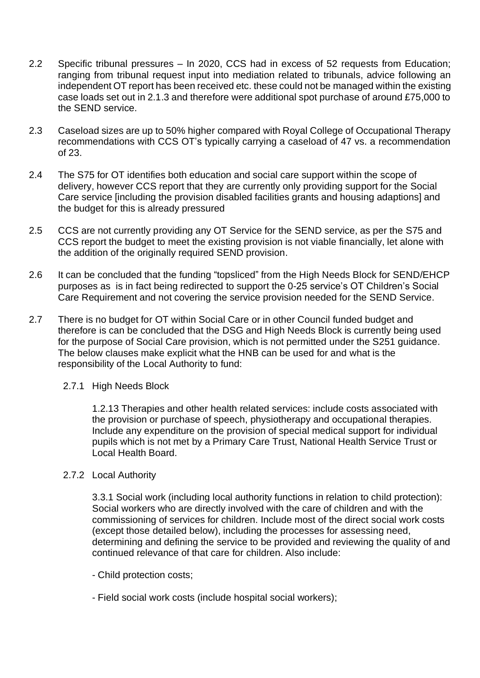- 2.2 Specific tribunal pressures In 2020, CCS had in excess of 52 requests from Education; ranging from tribunal request input into mediation related to tribunals, advice following an independent OT report has been received etc. these could not be managed within the existing case loads set out in 2.1.3 and therefore were additional spot purchase of around £75,000 to the SEND service.
- 2.3 Caseload sizes are up to 50% higher compared with Royal College of Occupational Therapy recommendations with CCS OT's typically carrying a caseload of 47 vs. a recommendation of 23.
- 2.4 The S75 for OT identifies both education and social care support within the scope of delivery, however CCS report that they are currently only providing support for the Social Care service [including the provision disabled facilities grants and housing adaptions] and the budget for this is already pressured
- 2.5 CCS are not currently providing any OT Service for the SEND service, as per the S75 and CCS report the budget to meet the existing provision is not viable financially, let alone with the addition of the originally required SEND provision.
- 2.6 It can be concluded that the funding "topsliced" from the High Needs Block for SEND/EHCP purposes as is in fact being redirected to support the 0-25 service's OT Children's Social Care Requirement and not covering the service provision needed for the SEND Service.
- 2.7 There is no budget for OT within Social Care or in other Council funded budget and therefore is can be concluded that the DSG and High Needs Block is currently being used for the purpose of Social Care provision, which is not permitted under the S251 guidance. The below clauses make explicit what the HNB can be used for and what is the responsibility of the Local Authority to fund:
	- 2.7.1 High Needs Block

1.2.13 Therapies and other health related services: include costs associated with the provision or purchase of speech, physiotherapy and occupational therapies. Include any expenditure on the provision of special medical support for individual pupils which is not met by a Primary Care Trust, National Health Service Trust or Local Health Board.

2.7.2 Local Authority

3.3.1 Social work (including local authority functions in relation to child protection): Social workers who are directly involved with the care of children and with the commissioning of services for children. Include most of the direct social work costs (except those detailed below), including the processes for assessing need, determining and defining the service to be provided and reviewing the quality of and continued relevance of that care for children. Also include:

- Child protection costs;
- Field social work costs (include hospital social workers);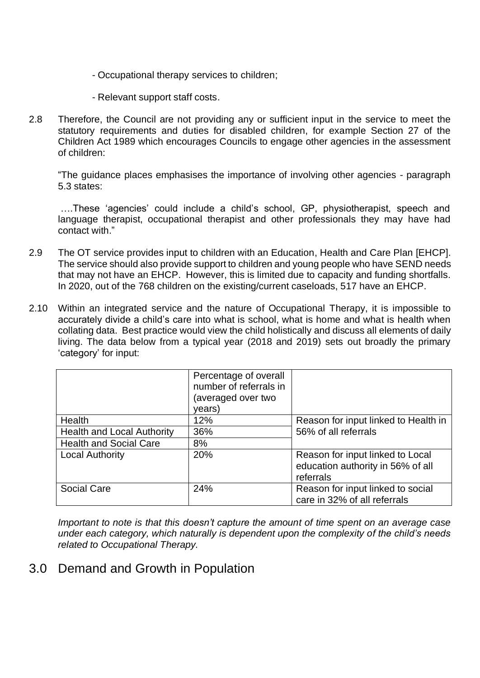- Occupational therapy services to children;
- Relevant support staff costs.
- 2.8 Therefore, the Council are not providing any or sufficient input in the service to meet the statutory requirements and duties for disabled children, for example Section 27 of the Children Act 1989 which encourages Councils to engage other agencies in the assessment of children:

"The guidance places emphasises the importance of involving other agencies - paragraph 5.3 states:

….These 'agencies' could include a child's school, GP, physiotherapist, speech and language therapist, occupational therapist and other professionals they may have had contact with."

- 2.9 The OT service provides input to children with an Education, Health and Care Plan [EHCP]. The service should also provide support to children and young people who have SEND needs that may not have an EHCP. However, this is limited due to capacity and funding shortfalls. In 2020, out of the 768 children on the existing/current caseloads, 517 have an EHCP.
- 2.10 Within an integrated service and the nature of Occupational Therapy, it is impossible to accurately divide a child's care into what is school, what is home and what is health when collating data. Best practice would view the child holistically and discuss all elements of daily living. The data below from a typical year (2018 and 2019) sets out broadly the primary 'category' for input:

|                                   | Percentage of overall<br>number of referrals in<br>(averaged over two<br>years) |                                                                                    |
|-----------------------------------|---------------------------------------------------------------------------------|------------------------------------------------------------------------------------|
| Health                            | 12%                                                                             | Reason for input linked to Health in                                               |
| <b>Health and Local Authority</b> | 36%                                                                             | 56% of all referrals                                                               |
| <b>Health and Social Care</b>     | 8%                                                                              |                                                                                    |
| <b>Local Authority</b>            | 20%                                                                             | Reason for input linked to Local<br>education authority in 56% of all<br>referrals |
| <b>Social Care</b>                | 24%                                                                             | Reason for input linked to social<br>care in 32% of all referrals                  |

*Important to note is that this doesn't capture the amount of time spent on an average case under each category, which naturally is dependent upon the complexity of the child's needs related to Occupational Therapy.*

### 3.0 Demand and Growth in Population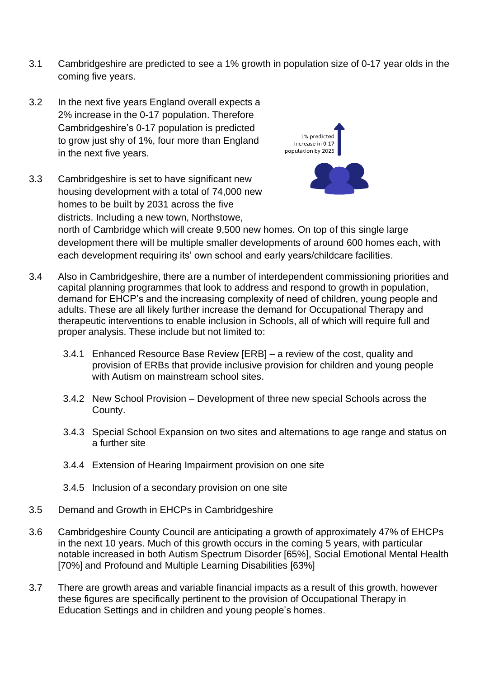- 3.1 Cambridgeshire are predicted to see a 1% growth in population size of 0-17 year olds in the coming five years.
- 3.2 In the next five years England overall expects a 2% increase in the 0-17 population. Therefore Cambridgeshire's 0-17 population is predicted to grow just shy of 1%, four more than England in the next five years.
- 3.3 Cambridgeshire is set to have significant new housing development with a total of 74,000 new homes to be built by 2031 across the five districts. Including a new town, Northstowe,



north of Cambridge which will create 9,500 new homes. On top of this single large development there will be multiple smaller developments of around 600 homes each, with each development requiring its' own school and early years/childcare facilities.

- 3.4 Also in Cambridgeshire, there are a number of interdependent commissioning priorities and capital planning programmes that look to address and respond to growth in population, demand for EHCP's and the increasing complexity of need of children, young people and adults. These are all likely further increase the demand for Occupational Therapy and therapeutic interventions to enable inclusion in Schools, all of which will require full and proper analysis. These include but not limited to:
	- 3.4.1 Enhanced Resource Base Review [ERB] a review of the cost, quality and provision of ERBs that provide inclusive provision for children and young people with Autism on mainstream school sites.
	- 3.4.2 New School Provision Development of three new special Schools across the County.
	- 3.4.3 Special School Expansion on two sites and alternations to age range and status on a further site
	- 3.4.4 Extension of Hearing Impairment provision on one site
	- 3.4.5 Inclusion of a secondary provision on one site
- 3.5 Demand and Growth in EHCPs in Cambridgeshire
- 3.6 Cambridgeshire County Council are anticipating a growth of approximately 47% of EHCPs in the next 10 years. Much of this growth occurs in the coming 5 years, with particular notable increased in both Autism Spectrum Disorder [65%], Social Emotional Mental Health [70%] and Profound and Multiple Learning Disabilities [63%]
- 3.7 There are growth areas and variable financial impacts as a result of this growth, however these figures are specifically pertinent to the provision of Occupational Therapy in Education Settings and in children and young people's homes.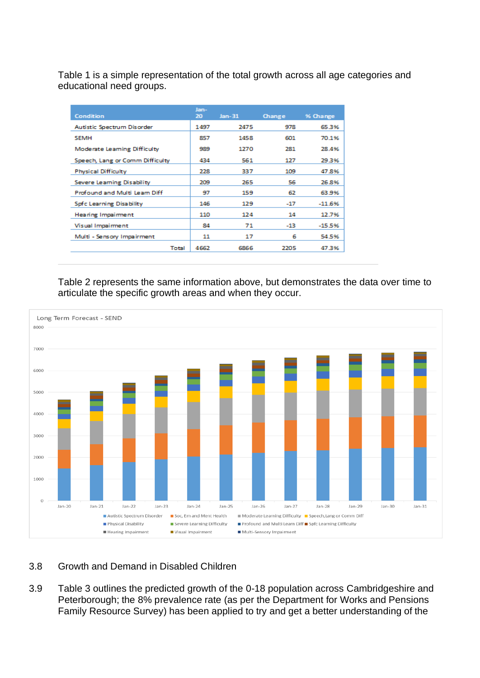Table 1 is a simple representation of the total growth across all age categories and educational need groups.

| Condition                       | Jan-<br>20 | $Jan-31$ | Change | % Change |
|---------------------------------|------------|----------|--------|----------|
| Autistic Spectrum Disorder      | 1497       | 2475     | 978    | 65.3%    |
| <b>SEMH</b>                     | 857        | 1458     | 601    | 70.1%    |
| Moderate Learning Difficulty    | 989        | 1270     | 281    | 28.4%    |
| Speech, Lang or Comm Difficulty | 434        | 561      | 127    | 29.3%    |
| <b>Physical Difficulty</b>      | 228        | 337      | 109    | 47.8%    |
| Severe Learning Disability      | 209        | 265      | 56     | 26.8%    |
| Profound and Multi Learn Diff   | 97         | 159      | 62     | 63.9%    |
| Spfc Learning Disability        | 146        | 129      | $-17$  | $-11.6%$ |
| Hearing Impairment              | 110        | 124      | 14     | 12.7%    |
| Visual Impairment               | 84         | 71       | -13    | $-15.5%$ |
| Multi - Sensory Impairment      | 11         | 17       | 6      | 54.5%    |
| Total                           | 4662       | 6866     | 2205   | 47.3%    |

Table 2 represents the same information above, but demonstrates the data over time to articulate the specific growth areas and when they occur.



#### 3.8 Growth and Demand in Disabled Children

3.9 Table 3 outlines the predicted growth of the 0-18 population across Cambridgeshire and Peterborough; the 8% prevalence rate (as per the Department for Works and Pensions Family Resource Survey) has been applied to try and get a better understanding of the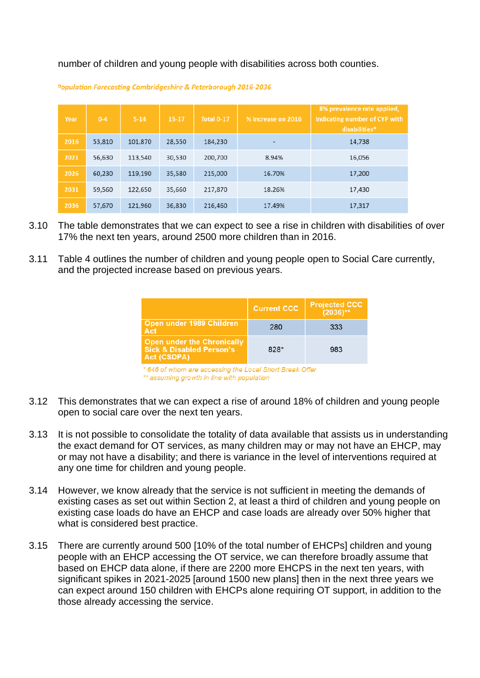number of children and young people with disabilities across both counties.

| Year | $0 - 4$ | $5 - 14$ | 15-17  | <b>Total 0-17</b> | % increase on 2016 | 8% prevalence rate applied,<br>indicating number of CYP with<br>disabilities* |
|------|---------|----------|--------|-------------------|--------------------|-------------------------------------------------------------------------------|
| 2016 | 53,810  | 101,870  | 28,550 | 184,230           | ٠                  | 14,738                                                                        |
| 2021 | 56,630  | 113,540  | 30,530 | 200,700           | 8.94%              | 16,056                                                                        |
| 2026 | 60,230  | 119,190  | 35,580 | 215,000           | 16.70%             | 17,200                                                                        |
| 2031 | 59,560  | 122,650  | 35,660 | 217,870           | 18.26%             | 17,430                                                                        |
| 2036 | 57,670  | 121,960  | 36,830 | 216,460           | 17.49%             | 17,317                                                                        |

Population Forecasting Cambridgeshire & Peterborough 2016-2036

- 3.10 The table demonstrates that we can expect to see a rise in children with disabilities of over 17% the next ten years, around 2500 more children than in 2016.
- 3.11 Table 4 outlines the number of children and young people open to Social Care currently, and the projected increase based on previous years.

|                                                                                         | <b>Current CCC.</b> | <b>Projected CCC</b><br>$(2036)$ ** |
|-----------------------------------------------------------------------------------------|---------------------|-------------------------------------|
| Open under 1989 Children<br>Act                                                         | 280                 | 333                                 |
| <b>Open under the Chronically</b><br><b>Sick &amp; Disabled Person's</b><br>Act (CSDPA) | 828*                | 983                                 |

\* 646 of whom are accessing the Local Short Break Offer \*\* assuming growth in line with population

- 3.12 This demonstrates that we can expect a rise of around 18% of children and young people open to social care over the next ten years.
- 3.13 It is not possible to consolidate the totality of data available that assists us in understanding the exact demand for OT services, as many children may or may not have an EHCP, may or may not have a disability; and there is variance in the level of interventions required at any one time for children and young people.
- 3.14 However, we know already that the service is not sufficient in meeting the demands of existing cases as set out within Section 2, at least a third of children and young people on existing case loads do have an EHCP and case loads are already over 50% higher that what is considered best practice.
- 3.15 There are currently around 500 [10% of the total number of EHCPs] children and young people with an EHCP accessing the OT service, we can therefore broadly assume that based on EHCP data alone, if there are 2200 more EHCPS in the next ten years, with significant spikes in 2021-2025 [around 1500 new plans] then in the next three years we can expect around 150 children with EHCPs alone requiring OT support, in addition to the those already accessing the service.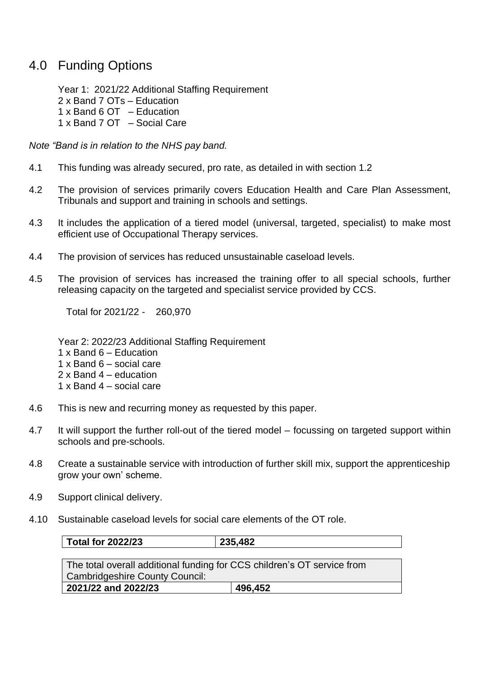## 4.0 Funding Options

Year 1: 2021/22 Additional Staffing Requirement 2 x Band 7 OTs – Education 1 x Band 6 OT – Education 1 x Band 7 OT – Social Care

*Note "Band is in relation to the NHS pay band.* 

- 4.1 This funding was already secured, pro rate, as detailed in with section 1.2
- 4.2 The provision of services primarily covers Education Health and Care Plan Assessment, Tribunals and support and training in schools and settings.
- 4.3 It includes the application of a tiered model (universal, targeted, specialist) to make most efficient use of Occupational Therapy services.
- 4.4 The provision of services has reduced unsustainable caseload levels.
- 4.5 The provision of services has increased the training offer to all special schools, further releasing capacity on the targeted and specialist service provided by CCS.

Total for 2021/22 - 260,970

Year 2: 2022/23 Additional Staffing Requirement

- 1 x Band 6 Education
- 1 x Band 6 social care
- 2 x Band 4 education
- 1 x Band 4 social care
- 4.6 This is new and recurring money as requested by this paper.
- 4.7 It will support the further roll-out of the tiered model focussing on targeted support within schools and pre-schools.
- 4.8 Create a sustainable service with introduction of further skill mix, support the apprenticeship grow your own' scheme.
- 4.9 Support clinical delivery.
- 4.10 Sustainable caseload levels for social care elements of the OT role.

| <b>Total for 2022/23</b>                                                | 235,482 |  |  |  |
|-------------------------------------------------------------------------|---------|--|--|--|
|                                                                         |         |  |  |  |
| The total overall additional funding for CCS children's OT service from |         |  |  |  |
| <b>Cambridgeshire County Council:</b>                                   |         |  |  |  |
| 2021/22 and 2022/23                                                     | 496,452 |  |  |  |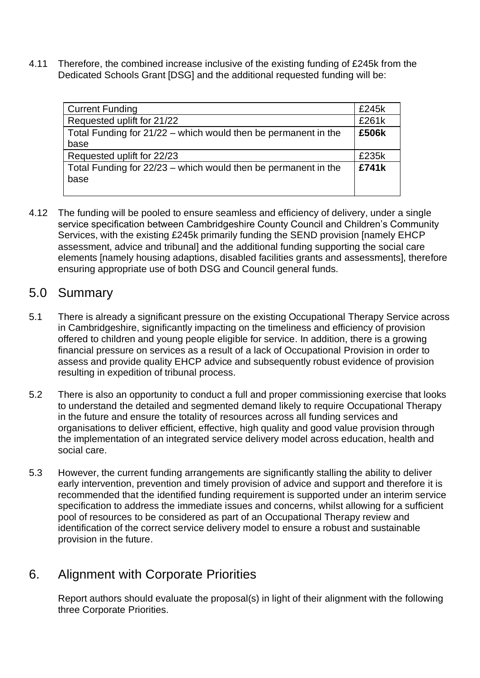4.11 Therefore, the combined increase inclusive of the existing funding of £245k from the Dedicated Schools Grant [DSG] and the additional requested funding will be:

| <b>Current Funding</b>                                         | £245k |
|----------------------------------------------------------------|-------|
| Requested uplift for 21/22                                     | £261k |
| Total Funding for 21/22 – which would then be permanent in the | £506k |
| base                                                           |       |
| Requested uplift for 22/23                                     | £235k |
| Total Funding for 22/23 – which would then be permanent in the | £741k |
| base                                                           |       |
|                                                                |       |

4.12 The funding will be pooled to ensure seamless and efficiency of delivery, under a single service specification between Cambridgeshire County Council and Children's Community Services, with the existing £245k primarily funding the SEND provision [namely EHCP assessment, advice and tribunal] and the additional funding supporting the social care elements [namely housing adaptions, disabled facilities grants and assessments], therefore ensuring appropriate use of both DSG and Council general funds.

### 5.0 Summary

- 5.1 There is already a significant pressure on the existing Occupational Therapy Service across in Cambridgeshire, significantly impacting on the timeliness and efficiency of provision offered to children and young people eligible for service. In addition, there is a growing financial pressure on services as a result of a lack of Occupational Provision in order to assess and provide quality EHCP advice and subsequently robust evidence of provision resulting in expedition of tribunal process.
- 5.2 There is also an opportunity to conduct a full and proper commissioning exercise that looks to understand the detailed and segmented demand likely to require Occupational Therapy in the future and ensure the totality of resources across all funding services and organisations to deliver efficient, effective, high quality and good value provision through the implementation of an integrated service delivery model across education, health and social care.
- 5.3 However, the current funding arrangements are significantly stalling the ability to deliver early intervention, prevention and timely provision of advice and support and therefore it is recommended that the identified funding requirement is supported under an interim service specification to address the immediate issues and concerns, whilst allowing for a sufficient pool of resources to be considered as part of an Occupational Therapy review and identification of the correct service delivery model to ensure a robust and sustainable provision in the future.

# 6. Alignment with Corporate Priorities

Report authors should evaluate the proposal(s) in light of their alignment with the following three Corporate Priorities.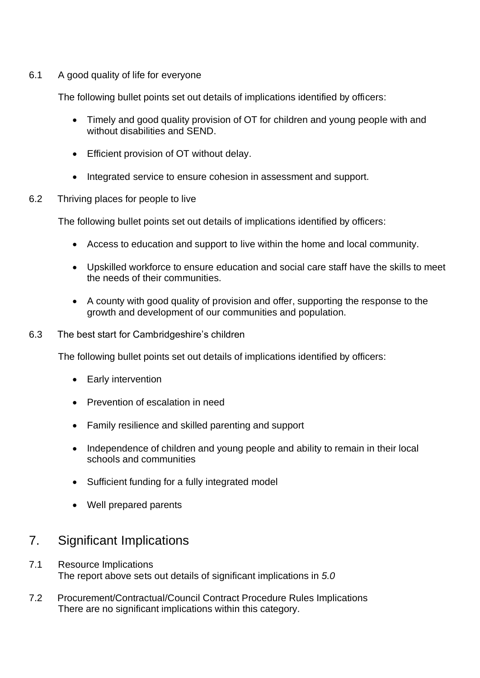#### 6.1 A good quality of life for everyone

The following bullet points set out details of implications identified by officers:

- Timely and good quality provision of OT for children and young people with and without disabilities and SEND.
- Efficient provision of OT without delay.
- Integrated service to ensure cohesion in assessment and support.
- 6.2 Thriving places for people to live

The following bullet points set out details of implications identified by officers:

- Access to education and support to live within the home and local community.
- Upskilled workforce to ensure education and social care staff have the skills to meet the needs of their communities.
- A county with good quality of provision and offer, supporting the response to the growth and development of our communities and population.
- 6.3 The best start for Cambridgeshire's children

The following bullet points set out details of implications identified by officers:

- Early intervention
- Prevention of escalation in need
- Family resilience and skilled parenting and support
- Independence of children and young people and ability to remain in their local schools and communities
- Sufficient funding for a fully integrated model
- Well prepared parents

## 7. Significant Implications

- 7.1 Resource Implications The report above sets out details of significant implications in *5.0*
- 7.2 Procurement/Contractual/Council Contract Procedure Rules Implications There are no significant implications within this category.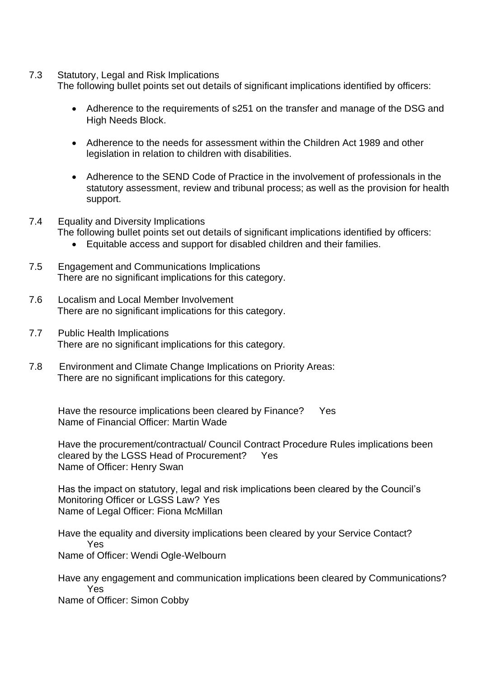7.3 Statutory, Legal and Risk Implications

The following bullet points set out details of significant implications identified by officers:

- Adherence to the requirements of s251 on the transfer and manage of the DSG and High Needs Block.
- Adherence to the needs for assessment within the Children Act 1989 and other legislation in relation to children with disabilities.
- Adherence to the SEND Code of Practice in the involvement of professionals in the statutory assessment, review and tribunal process; as well as the provision for health support.
- 7.4 Equality and Diversity Implications The following bullet points set out details of significant implications identified by officers:
	- Equitable access and support for disabled children and their families.
- 7.5 Engagement and Communications Implications There are no significant implications for this category.
- 7.6 Localism and Local Member Involvement There are no significant implications for this category.
- 7.7 Public Health Implications There are no significant implications for this category*.*
- 7.8 Environment and Climate Change Implications on Priority Areas: There are no significant implications for this category*.*

Have the resource implications been cleared by Finance? Yes Name of Financial Officer: Martin Wade

Have the procurement/contractual/ Council Contract Procedure Rules implications been cleared by the LGSS Head of Procurement? Yes Name of Officer: Henry Swan

Has the impact on statutory, legal and risk implications been cleared by the Council's Monitoring Officer or LGSS Law? Yes Name of Legal Officer: Fiona McMillan

Have the equality and diversity implications been cleared by your Service Contact? Yes Name of Officer: Wendi Ogle-Welbourn

Have any engagement and communication implications been cleared by Communications? Yes

Name of Officer: Simon Cobby